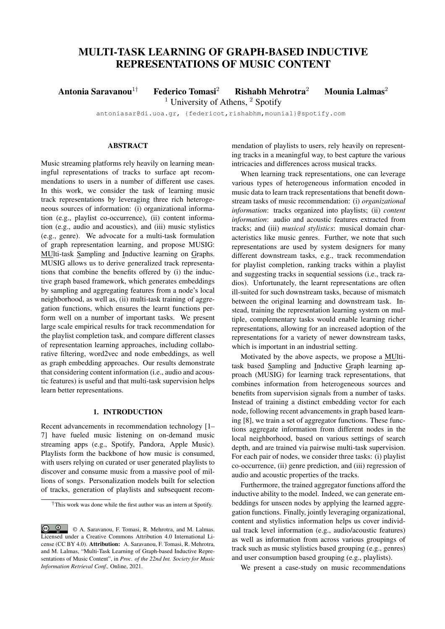# MULTI-TASK LEARNING OF GRAPH-BASED INDUCTIVE REPRESENTATIONS OF MUSIC CONTENT

Antonia Saravanou<sup>1†</sup> Federico Tomasi<sup>2</sup> Rishabh Mehrotra<sup>2</sup> Mounia Lalmas<sup>2</sup>

<sup>1</sup> University of Athens,  $\frac{2}{3}$  Spotify

antoniasar@di.uoa.gr, {federicot,rishabhm,mounial}@spotify.com

# ABSTRACT

Music streaming platforms rely heavily on learning meaningful representations of tracks to surface apt recommendations to users in a number of different use cases. In this work, we consider the task of learning music track representations by leveraging three rich heterogeneous sources of information: (i) organizational information (e.g., playlist co-occurrence), (ii) content information (e.g., audio and acoustics), and (iii) music stylistics (e.g., genre). We advocate for a multi-task formulation of graph representation learning, and propose MUSIG: MUlti-task Sampling and Inductive learning on Graphs. MUSIG allows us to derive generalized track representations that combine the benefits offered by (i) the inductive graph based framework, which generates embeddings by sampling and aggregating features from a node's local neighborhood, as well as, (ii) multi-task training of aggregation functions, which ensures the learnt functions perform well on a number of important tasks. We present large scale empirical results for track recommendation for the playlist completion task, and compare different classes of representation learning approaches, including collaborative filtering, word2vec and node embeddings, as well as graph embedding approaches. Our results demonstrate that considering content information (i.e., audio and acoustic features) is useful and that multi-task supervision helps learn better representations.

## 1. INTRODUCTION

Recent advancements in recommendation technology [1– 7] have fueled music listening on on-demand music streaming apps (e.g., Spotify, Pandora, Apple Music). Playlists form the backbone of how music is consumed, with users relying on curated or user generated playlists to discover and consume music from a massive pool of millions of songs. Personalization models built for selection of tracks, generation of playlists and subsequent recommendation of playlists to users, rely heavily on representing tracks in a meaningful way, to best capture the various intricacies and differences across musical tracks.

When learning track representations, one can leverage various types of heterogeneous information encoded in music data to learn track representations that benefit downstream tasks of music recommendation: (i) *organizational information*: tracks organized into playlists; (ii) *content information*: audio and acoustic features extracted from tracks; and (iii) *musical stylistics*: musical domain characteristics like music genres. Further, we note that such representations are used by system designers for many different downstream tasks, e.g., track recommendation for playlist completion, ranking tracks within a playlist and suggesting tracks in sequential sessions (i.e., track radios). Unfortunately, the learnt representations are often ill-suited for such downstream tasks, because of mismatch between the original learning and downstream task. Instead, training the representation learning system on multiple, complementary tasks would enable learning richer representations, allowing for an increased adoption of the representations for a variety of newer downstream tasks, which is important in an industrial setting.

Motivated by the above aspects, we propose a MUltitask based Sampling and Inductive Graph learning approach (MUSIG) for learning track representations, that combines information from heterogeneous sources and benefits from supervision signals from a number of tasks. Instead of training a distinct embedding vector for each node, following recent advancements in graph based learning [8], we train a set of aggregator functions. These functions aggregate information from different nodes in the local neighborhood, based on various settings of search depth, and are trained via pairwise multi-task supervision. For each pair of nodes, we consider three tasks: (i) playlist co-occurrence, (ii) genre prediction, and (iii) regression of audio and acoustic properties of the tracks.

Furthermore, the trained aggregator functions afford the inductive ability to the model. Indeed, we can generate embeddings for unseen nodes by applying the learned aggregation functions. Finally, jointly leveraging organizational, content and stylistics information helps us cover individual track level information (e.g., audio/acoustic features) as well as information from across various groupings of track such as music stylistics based grouping (e.g., genres) and user consumption based grouping (e.g., playlists).

We present a case-study on music recommendations

<sup>†</sup>This work was done while the first author was an intern at Spotify.

 $\odot$ © A. Saravanou, F. Tomasi, R. Mehrotra, and M. Lalmas. Licensed under a Creative Commons Attribution 4.0 International License (CC BY 4.0). Attribution: A. Saravanou, F. Tomasi, R. Mehrotra, and M. Lalmas, "Multi-Task Learning of Graph-based Inductive Representations of Music Content", in *Proc. of the 22nd Int. Society for Music Information Retrieval Conf.,* Online, 2021.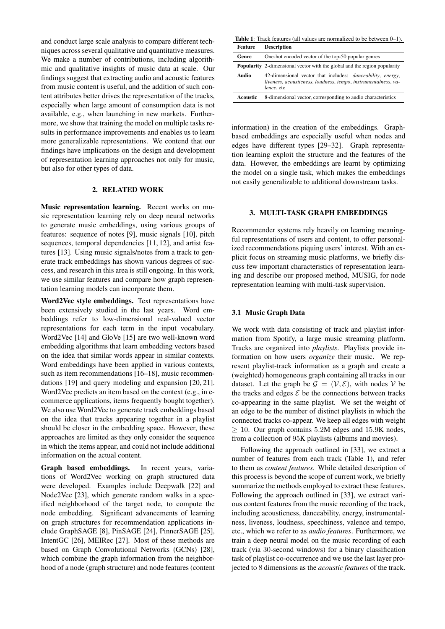and conduct large scale analysis to compare different techniques across several qualitative and quantitative measures. We make a number of contributions, including algorithmic and qualitative insights of music data at scale. Our findings suggest that extracting audio and acoustic features from music content is useful, and the addition of such content attributes better drives the representation of the tracks, especially when large amount of consumption data is not available, e.g., when launching in new markets. Furthermore, we show that training the model on multiple tasks results in performance improvements and enables us to learn more generalizable representations. We contend that our findings have implications on the design and development of representation learning approaches not only for music, but also for other types of data.

#### 2. RELATED WORK

Music representation learning. Recent works on music representation learning rely on deep neural networks to generate music embeddings, using various groups of features: sequence of notes [9], music signals [10], pitch sequences, temporal dependencies [11, 12], and artist features [13]. Using music signals/notes from a track to generate track embeddings has shown various degrees of success, and research in this area is still ongoing. In this work, we use similar features and compare how graph representation learning models can incorporate them.

Word2Vec style embeddings. Text representations have been extensively studied in the last years. Word embeddings refer to low-dimensional real-valued vector representations for each term in the input vocabulary. Word2Vec [14] and GloVe [15] are two well-known word embedding algorithms that learn embedding vectors based on the idea that similar words appear in similar contexts. Word embeddings have been applied in various contexts, such as item recommendations [16–18], music recommendations [19] and query modeling and expansion [20, 21]. Word2Vec predicts an item based on the context (e.g., in ecommerce applications, items frequently bought together). We also use Word2Vec to generate track embeddings based on the idea that tracks appearing together in a playlist should be closer in the embedding space. However, these approaches are limited as they only consider the sequence in which the items appear, and could not include additional information on the actual content.

Graph based embeddings. In recent years, variations of Word2Vec working on graph structured data were developed. Examples include Deepwalk [22] and Node2Vec [23], which generate random walks in a specified neighborhood of the target node, to compute the node embedding. Significant advancements of learning on graph structures for recommendation applications include GraphSAGE [8], PinSAGE [24], PinnerSAGE [25], IntentGC [26], MEIRec [27]. Most of these methods are based on Graph Convolutional Networks (GCNs) [28], which combine the graph information from the neighborhood of a node (graph structure) and node features (content

Table 1: Track features (all values are normalized to be between 0–1). Feature Description

| Genre    | One-hot encoded vector of the top-50 popular genres                                                                                                        |  |  |  |  |  |
|----------|------------------------------------------------------------------------------------------------------------------------------------------------------------|--|--|--|--|--|
|          | <b>Popularity</b> 2-dimensional vector with the global and the region popularity                                                                           |  |  |  |  |  |
| Audio    | 42-dimensional vector that includes: <i>danceability</i> , <i>energy</i> ,<br>liveness, acousticness, loudness, tempo, instrumentalness, va-<br>lence, etc |  |  |  |  |  |
| Acoustic | 8-dimensional vector, corresponding to audio characteristics                                                                                               |  |  |  |  |  |
|          |                                                                                                                                                            |  |  |  |  |  |

information) in the creation of the embeddings. Graphbased embeddings are especially useful when nodes and edges have different types [29–32]. Graph representation learning exploit the structure and the features of the data. However, the embeddings are learnt by optimizing the model on a single task, which makes the embeddings not easily generalizable to additional downstream tasks.

#### 3. MULTI-TASK GRAPH EMBEDDINGS

Recommender systems rely heavily on learning meaningful representations of users and content, to offer personalized recommendations piquing users' interest. With an explicit focus on streaming music platforms, we briefly discuss few important characteristics of representation learning and describe our proposed method, MUSIG, for node representation learning with multi-task supervision.

#### 3.1 Music Graph Data

We work with data consisting of track and playlist information from Spotify, a large music streaming platform. Tracks are organized into *playlists*. Playlists provide information on how users *organize* their music. We represent playlist-track information as a graph and create a (weighted) homogeneous graph containing all tracks in our dataset. Let the graph be  $\mathcal{G} = (\mathcal{V}, \mathcal{E})$ , with nodes  $\mathcal{V}$  be the tracks and edges  $\mathcal E$  be the connections between tracks co-appearing in the same playlist. We set the weight of an edge to be the number of distinct playlists in which the connected tracks co-appear. We keep all edges with weight  $> 10$ . Our graph contains 5.2M edges and 15.9K nodes, from a collection of 95K playlists (albums and movies).

Following the approach outlined in [33], we extract a number of features from each track (Table 1), and refer to them as *content features*. While detailed description of this process is beyond the scope of current work, we briefly summarize the methods employed to extract these features. Following the approach outlined in [33], we extract various content features from the music recording of the track, including acousticness, danceability, energy, instrumentalness, liveness, loudness, speechiness, valence and tempo, etc., which we refer to as *audio features*. Furthermore, we train a deep neural model on the music recording of each track (via 30-second windows) for a binary classification task of playlist co-occurrence and we use the last layer projected to 8 dimensions as the *acoustic features* of the track.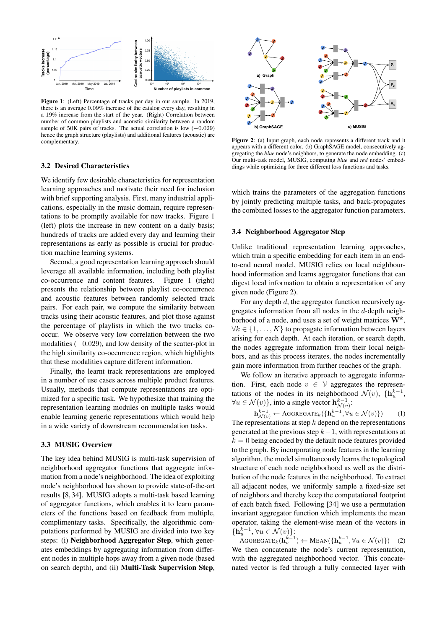

Figure 1: (Left) Percentage of tracks per day in our sample. In 2019, there is an average 0.09% increase of the catalog every day, resulting in a 19% increase from the start of the year. (Right) Correlation between number of common playlists and acoustic similarity between a random sample of 50K pairs of tracks. The actual correlation is low  $(-0.029)$ hence the graph structure (playlists) and additional features (acoustic) are complementary.

#### 3.2 Desired Characteristics

We identify few desirable characteristics for representation learning approaches and motivate their need for inclusion with brief supporting analysis. First, many industrial applications, especially in the music domain, require representations to be promptly available for new tracks. Figure 1 (left) plots the increase in new content on a daily basis; hundreds of tracks are added every day and learning their representations as early as possible is crucial for production machine learning systems.

Second, a good representation learning approach should leverage all available information, including both playlist co-occurrence and content features. Figure 1 (right) presents the relationship between playlist co-occurrence and acoustic features between randomly selected track pairs. For each pair, we compute the similarity between tracks using their acoustic features, and plot those against the percentage of playlists in which the two tracks cooccur. We observe very low correlation between the two modalities (−0.029), and low density of the scatter-plot in the high similarity co-occurrence region, which highlights that these modalities capture different information.

Finally, the learnt track representations are employed in a number of use cases across multiple product features. Usually, methods that compute representations are optimized for a specific task. We hypothesize that training the representation learning modules on multiple tasks would enable learning generic representations which would help in a wide variety of downstream recommendation tasks.

## 3.3 MUSIG Overview

The key idea behind MUSIG is multi-task supervision of neighborhood aggregator functions that aggregate information from a node's neighborhood. The idea of exploiting node's neighborhood has shown to provide state-of-the-art results [8, 34]. MUSIG adopts a multi-task based learning of aggregator functions, which enables it to learn parameters of the functions based on feedback from multiple, complimentary tasks. Specifically, the algorithmic computations performed by MUSIG are divided into two key steps: (i) Neighborhood Aggregator Step, which generates embeddings by aggregating information from different nodes in multiple hops away from a given node (based on search depth), and (ii) Multi-Task Supervision Step,



Figure 2: (a) Input graph, each node represents a different track and it appears with a different color. (b) GraphSAGE model, consecutively aggregating the *blue* node's neighbors, to generate the node embedding. (c) Our multi-task model, MUSIG, computing *blue* and *red* nodes' embeddings while optimizing for three different loss functions and tasks.

which trains the parameters of the aggregation functions by jointly predicting multiple tasks, and back-propagates the combined losses to the aggregator function parameters.

## 3.4 Neighborhood Aggregator Step

Unlike traditional representation learning approaches, which train a specific embedding for each item in an endto-end neural model, MUSIG relies on local neighbourhood information and learns aggregator functions that can digest local information to obtain a representation of any given node (Figure 2).

For any depth  $d$ , the aggregator function recursively aggregates information from all nodes in the d-depth neighborhood of a node, and uses a set of weight matrices  $\mathbf{W}^{k}$ ,  $\forall k \in \{1, \ldots, K\}$  to propagate information between layers arising for each depth. At each iteration, or search depth, the nodes aggregate information from their local neighbors, and as this process iterates, the nodes incrementally gain more information from further reaches of the graph.

We follow an iterative approach to aggregate information. First, each node  $v \in V$  aggregates the representations of the nodes in its neighborhood  $\mathcal{N}(v)$ ,  $\{\mathbf{h}_u^{k-1},\}$  $\forall u \in \mathcal{N}(v) \},$  into a single vector  $\mathbf{h}^{k-1}_{\mathcal{N}(v)}$ :

 $\mathbf{h}_{\mathcal{N}(v)}^{k-1} \leftarrow \mathrm{AGGREGATE}_k(\{\mathbf{h}_u^{k-1}, \forall u \in \mathcal{N}(v)\})$  (1) The representations at step  $k$  depend on the representations generated at the previous step  $k-1$ , with representations at  $k = 0$  being encoded by the default node features provided to the graph. By incorporating node features in the learning algorithm, the model simultaneously learns the topological structure of each node neighborhood as well as the distribution of the node features in the neighborhood. To extract all adjacent nodes, we uniformly sample a fixed-size set of neighbors and thereby keep the computational footprint of each batch fixed. Following [34] we use a permutation invariant aggregator function which implements the mean operator, taking the element-wise mean of the vectors in  $\{\mathbf h^{k-1}_u, \forall u \in \mathcal N(v)\}$ :

AGGREGATE<sub>k</sub> $(\mathbf{h}_v^{k-1}) \leftarrow \text{MEAN}(\{\mathbf{h}_u^{k-1}, \forall u \in \mathcal{N}(v)\})$  (2) We then concatenate the node's current representation, with the aggregated neighborhood vector. This concatenated vector is fed through a fully connected layer with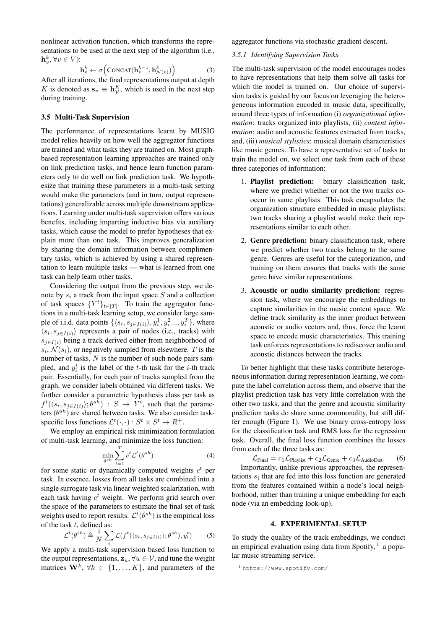nonlinear activation function, which transforms the representations to be used at the next step of the algorithm (i.e.,  $\mathbf{h}_v^k, \forall v \in V$ :

$$
\mathbf{h}_v^k \leftarrow \sigma \Big( \text{CONCAT}(\mathbf{h}_v^{k-1}, \mathbf{h}_{\mathcal{N}(v)}^k) \Big) \tag{3}
$$

After all iterations, the final representations output at depth K is denoted as  $\mathbf{s}_v \equiv \mathbf{h}_V^K$ , which is used in the next step during training.

## 3.5 Multi-Task Supervision

The performance of representations learnt by MUSIG model relies heavily on how well the aggregator functions are trained and what tasks they are trained on. Most graphbased representation learning approaches are trained only on link prediction tasks, and hence learn function parameters only to do well on link prediction task. We hypothesize that training these parameters in a multi-task setting would make the parameters (and in turn, output representations) generalizable across multiple downstream applications. Learning under multi-task supervision offers various benefits, including imparting inductive bias via auxiliary tasks, which cause the model to prefer hypotheses that explain more than one task. This improves generalization by sharing the domain information between complimentary tasks, which is achieved by using a shared representation to learn multiple tasks — what is learned from one task can help learn other tasks.

Considering the output from the previous step, we denote by  $s_i$  a track from the input space S and a collection of task spaces  $\{Y^t\}_{t\in[T]}$ . To train the aggregator functions in a multi-task learning setup, we consider large sample of i.i.d. data points  $\{\langle s_i, s_{j \in I(i)} \rangle, y_i^1, y_i^2..., y_i^T\}$ , where  $\langle s_i, s_{j \in I(i)} \rangle$  represents a pair of nodes (i.e., tracks) with  $s_{j\in I(i)}$  being a track derived either from neighborhood of  $s_i, \mathcal{N}(s_i)$ , or negatively sampled from elsewhere. T is the number of tasks,  $N$  is the number of such node pairs sampled, and  $y_i^t$  is the label of the *t*-th task for the *i*-th track pair. Essentially, for each pair of tracks sampled from the graph, we consider labels obtained via different tasks. We further consider a parametric hypothesis class per task as  $f^t(\langle s_i, s_{j \in I(i)} \rangle; \theta^{sh}) : S \rightarrow Y^t$ , such that the parameters  $(\theta^{sh})$  are shared between tasks. We also consider taskspecific loss functions  $\mathcal{L}^t(\cdot, \cdot) : S^t \times S^t \to R^+$ .

We employ an empirical risk minimization formulation of multi-task learning, and minimize the loss function:

$$
\min_{\theta^{sh}} \sum_{t=1}^{T} c^t \mathcal{L}^t(\theta^{sh})
$$
\n(4)

for some static or dynamically computed weights  $c<sup>t</sup>$  per task. In essence, losses from all tasks are combined into a single surrogate task via linear weighted scalarization, with each task having  $c<sup>t</sup>$  weight. We perform grid search over the space of the parameters to estimate the final set of task weights used to report results.  $\mathcal{L}^t(\theta^{sh})$  is the empirical loss of the task  $t$ , defined as:

$$
\mathcal{L}^t(\theta^{sh}) \triangleq \frac{1}{N} \sum_i \mathcal{L}(f^t(\langle s_i, s_{j \in I(i)} \rangle; \theta^{sh}), y_i^t)
$$
 (5)

We apply a multi-task supervision based loss function to the output representations,  $z_u$ ,  $\forall u \in V$ , and tune the weight matrices  $\mathbf{W}^{k}$ ,  $\forall k \in \{1, ..., K\}$ , and parameters of the

aggregator functions via stochastic gradient descent.

## *3.5.1 Identifying Supervision Tasks*

The multi-task supervision of the model encourages nodes to have representations that help them solve all tasks for which the model is trained on. Our choice of supervision tasks is guided by our focus on leveraging the heterogeneous information encoded in music data, specifically, around three types of information (i) *organizational information*: tracks organized into playlists, (ii) *content information*: audio and acoustic features extracted from tracks, and, (iii) *musical stylistics*: musical domain characteristics like music genres. To have a representative set of tasks to train the model on, we select one task from each of these three categories of information:

- 1. Playlist prediction: binary classification task, where we predict whether or not the two tracks cooccur in same playlists. This task encapsulates the organization structure embedded in music playlists: two tracks sharing a playlist would make their representations similar to each other.
- 2. Genre prediction: binary classification task, where we predict whether two tracks belong to the same genre. Genres are useful for the categorization, and training on them ensures that tracks with the same genre have similar representations.
- 3. Acoustic or audio similarity prediction: regression task, where we encourage the embeddings to capture similarities in the music content space. We define track similarity as the inner product between acoustic or audio vectors and, thus, force the learnt space to encode music characteristics. This training task enforces representations to rediscover audio and acoustic distances between the tracks.

To better highlight that these tasks contribute heterogeneous information during representation learning, we compute the label correlation across them, and observe that the playlist prediction task has very little correlation with the other two tasks, and that the genre and acoustic similarity prediction tasks do share some commonality, but still differ enough (Figure 1). We use binary cross-entropy loss for the classification task and RMS loss for the regression task. Overall, the final loss function combines the losses from each of the three tasks as:

 $\mathcal{L}_{\text{Final}} = c_1 \mathcal{L}_{\text{Plavlist}} + c_2 \mathcal{L}_{\text{Genre}} + c_3 \mathcal{L}_{\text{AudioDist}}.$  (6) Importantly, unlike previous approaches, the representations  $s_i$  that are fed into this loss function are generated from the features contained within a node's local neighborhood, rather than training a unique embedding for each node (via an embedding look-up).

#### 4. EXPERIMENTAL SETUP

To study the quality of the track embeddings, we conduct an empirical evaluation using data from Spotify,  $<sup>1</sup>$  a popu-</sup> lar music streaming service.

<sup>1</sup> https://www.spotify.com/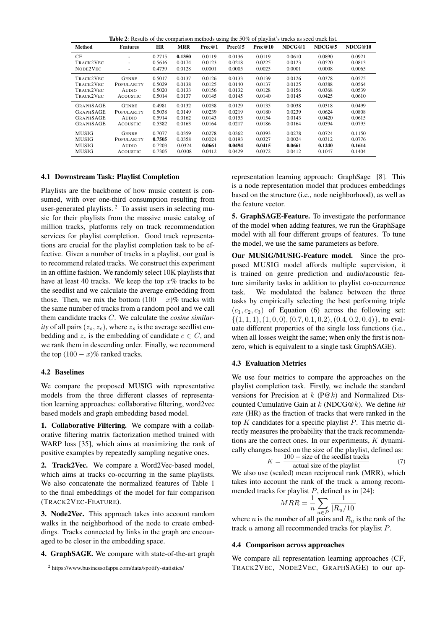|                  | <b>Table 2:</b> Results of the comparison methods using the 50% of playlist's tracks as seed track list. |           |            |        |        |         |        |        |         |
|------------------|----------------------------------------------------------------------------------------------------------|-----------|------------|--------|--------|---------|--------|--------|---------|
| Method           | <b>Features</b>                                                                                          | <b>HR</b> | <b>MRR</b> | Prec@1 | Prec@5 | Prec@10 | NDCG@1 | NDCG@5 | NDCG@10 |
| CF               |                                                                                                          | 0.2715    | 0.1350     | 0.0119 | 0.0136 | 0.0119  | 0.0610 | 0.0890 | 0.0921  |
| TRACK2VEC        |                                                                                                          | 0.5616    | 0.0174     | 0.0123 | 0.0218 | 0.0225  | 0.0123 | 0.0520 | 0.0813  |
| NODE2VEC         |                                                                                                          | 0.4739    | 0.0128     | 0.0001 | 0.0005 | 0.0025  | 0.0001 | 0.0008 | 0.0065  |
| TRACK2VEC        | <b>GENRE</b>                                                                                             | 0.5017    | 0.0137     | 0.0126 | 0.0133 | 0.0139  | 0.0126 | 0.0378 | 0.0575  |
| TRACK2VEC        | <b>POPULARITY</b>                                                                                        | 0.5029    | 0.0138     | 0.0125 | 0.0140 | 0.0137  | 0.0125 | 0.0388 | 0.0564  |
| TRACK2VEC        | <b>AUDIO</b>                                                                                             | 0.5020    | 0.0133     | 0.0156 | 0.0132 | 0.0128  | 0.0156 | 0.0368 | 0.0539  |
| TRACK2VEC        | <b>ACOUSTIC</b>                                                                                          | 0.5014    | 0.0137     | 0.0145 | 0.0145 | 0.0140  | 0.0145 | 0.0425 | 0.0610  |
| <b>GRAPHSAGE</b> | <b>GENRE</b>                                                                                             | 0.4981    | 0.0132     | 0.0038 | 0.0129 | 0.0135  | 0.0038 | 0.0318 | 0.0499  |
| <b>GRAPHSAGE</b> | POPULARITY                                                                                               | 0.5038    | 0.0149     | 0.0239 | 0.0219 | 0.0180  | 0.0239 | 0.0624 | 0.0808  |
| <b>GRAPHSAGE</b> | AUDIO                                                                                                    | 0.5914    | 0.0162     | 0.0143 | 0.0155 | 0.0154  | 0.0143 | 0.0420 | 0.0615  |
| <b>GRAPHSAGE</b> | <b>ACOUSTIC</b>                                                                                          | 0.5382    | 0.0163     | 0.0164 | 0.0217 | 0.0186  | 0.0164 | 0.0594 | 0.0795  |
| <b>MUSIG</b>     | <b>GENRE</b>                                                                                             | 0.7077    | 0.0359     | 0.0278 | 0.0362 | 0.0393  | 0.0278 | 0.0724 | 0.1150  |
| MUSIG            | POPULARITY                                                                                               | 0.7505    | 0.0358     | 0.0024 | 0.0193 | 0.0327  | 0.0024 | 0.0312 | 0.0776  |
| <b>MUSIG</b>     | AUDIO                                                                                                    | 0.7203    | 0.0324     | 0.0661 | 0.0494 | 0.0415  | 0.0661 | 0.1240 | 0.1614  |
| MUSIG            | <b>ACOUSTIC</b>                                                                                          | 0.7305    | 0.0308     | 0.0412 | 0.0429 | 0.0372  | 0.0412 | 0.1047 | 0.1404  |

# 4.1 Downstream Task: Playlist Completion

Playlists are the backbone of how music content is consumed, with over one-third consumption resulting from user-generated playlists.<sup>2</sup> To assist users in selecting music for their playlists from the massive music catalog of million tracks, platforms rely on track recommendation services for playlist completion. Good track representations are crucial for the playlist completion task to be effective. Given a number of tracks in a playlist, our goal is to recommend related tracks. We construct this experiment in an offline fashion. We randomly select 10K playlists that have at least 40 tracks. We keep the top  $x\%$  tracks to be the seedlist and we calculate the average embedding from those. Then, we mix the bottom  $(100 - x)\%$  tracks with the same number of tracks from a random pool and we call them candidate tracks C. We calculate the *cosine similarity* of all pairs  $(z_s, z_c)$ , where  $z_s$  is the average seedlist embedding and  $z_c$  is the embedding of candidate  $c \in C$ , and we rank them in descending order. Finally, we recommend the top  $(100 - x)\%$  ranked tracks.

# 4.2 Baselines

We compare the proposed MUSIG with representative models from the three different classes of representation learning approaches: collaborative filtering, word2vec based models and graph embedding based model.

1. Collaborative Filtering. We compare with a collaborative filtering matrix factorization method trained with WARP loss [35], which aims at maximizing the rank of positive examples by repeatedly sampling negative ones.

2. Track2Vec. We compare a Word2Vec-based model, which aims at tracks co-occurring in the same playlists. We also concatenate the normalized features of Table 1 to the final embeddings of the model for fair comparison (TRACK2VEC-FEATURE).

3. Node2Vec. This approach takes into account random walks in the neighborhood of the node to create embeddings. Tracks connected by links in the graph are encouraged to be closer in the embedding space.

4. GraphSAGE. We compare with state-of-the-art graph

representation learning approach: GraphSage [8]. This is a node representation model that produces embeddings based on the structure (i.e., node neighborhood), as well as the feature vector.

5. GraphSAGE-Feature. To investigate the performance of the model when adding features, we run the GraphSage model with all four different groups of features. To tune the model, we use the same parameters as before.

Our MUSIG/MUSIG-Feature model. Since the proposed MUSIG model affords multiple supervision, it is trained on genre prediction and audio/acoustic feature similarity tasks in addition to playlist co-occurrence task. We modulated the balance between the three tasks by empirically selecting the best performing triple  $(c_1, c_2, c_3)$  of Equation (6) across the following set:  $\{(1, 1, 1), (1, 0, 0), (0.7, 0.1, 0.2), (0.4, 0.2, 0.4)\},$  to evaluate different properties of the single loss functions (i.e., when all losses weight the same; when only the first is nonzero, which is equivalent to a single task GraphSAGE).

# 4.3 Evaluation Metrics

We use four metrics to compare the approaches on the playlist completion task. Firstly, we include the standard versions for Precision at  $k$  (P@k) and Normalized Discounted Cumulative Gain at k (NDCG@k). We define *hit rate* (HR) as the fraction of tracks that were ranked in the top  $K$  candidates for a specific playlist  $P$ . This metric directly measures the probability that the track recommendations are the correct ones. In our experiments,  $K$  dynamically changes based on the size of the playlist, defined as:

$$
K = \frac{100 - \text{size of the seedlist tracks}}{\text{actual size of the playlist}} \tag{7}
$$

We also use (scaled) mean reciprocal rank (MRR), which takes into account the rank of the track  $u$  among recommended tracks for playlist  $P$ , defined as in [24]:

$$
MRR = \frac{1}{n} \sum_{u \in P} \frac{1}{|R_u/10|}
$$

where *n* is the number of all pairs and  $R_u$  is the rank of the track u among all recommended tracks for playlist P.

#### 4.4 Comparison across approaches

We compare all representation learning approaches (CF, TRACK2VEC, NODE2VEC, GRAPHSAGE) to our ap-

<sup>2</sup> https://www.businessofapps.com/data/spotify-statistics/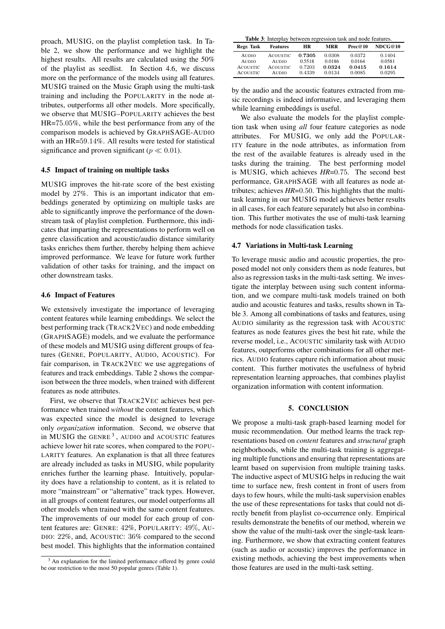proach, MUSIG, on the playlist completion task. In Table 2, we show the performance and we highlight the highest results. All results are calculated using the 50% of the playlist as seedlist. In Section 4.6, we discuss more on the performance of the models using all features. MUSIG trained on the Music Graph using the multi-task training and including the POPULARITY in the node attributes, outperforms all other models. More specifically, we observe that MUSIG–POPULARITY achieves the best HR=75.05%, while the best performance from any of the comparison models is achieved by GRAPHSAGE-AUDIO with an HR=59.14%. All results were tested for statistical significance and proven significant ( $p \ll 0.01$ ).

#### 4.5 Impact of training on multiple tasks

MUSIG improves the hit-rate score of the best existing model by 27%. This is an important indicator that embeddings generated by optimizing on multiple tasks are able to significantly improve the performance of the downstream task of playlist completion. Furthermore, this indicates that imparting the representations to perform well on genre classification and acoustic/audio distance similarity tasks enriches them further, thereby helping them achieve improved performance. We leave for future work further validation of other tasks for training, and the impact on other downstream tasks.

#### 4.6 Impact of Features

We extensively investigate the importance of leveraging content features while learning embeddings. We select the best performing track (TRACK2VEC) and node embedding (GRAPHSAGE) models, and we evaluate the performance of these models and MUSIG using different groups of features (GENRE, POPULARITY, AUDIO, ACOUSTIC). For fair comparison, in TRACK2VEC we use aggregations of features and track embeddings. Table 2 shows the comparison between the three models, when trained with different features as node attributes.

First, we observe that TRACK2VEC achieves best performance when trained *without* the content features, which was expected since the model is designed to leverage only *organization* information. Second, we observe that in MUSIG the GENRE<sup>3</sup>, AUDIO and ACOUSTIC features achieve lower hit rate scores, when compared to the POPU-LARITY features. An explanation is that all three features are already included as tasks in MUSIG, while popularity enriches further the learning phase. Intuitively, popularity does have a relationship to content, as it is related to more "mainstream" or "alternative" track types. However, in all groups of content features, our model outperforms all other models when trained with the same content features. The improvements of our model for each group of content features are: GENRE: 42%, POPULARITY: 49%, AU-DIO: 22%, and, ACOUSTIC: 36% compared to the second best model. This highlights that the information contained

|  | <b>Table 3:</b> Interplay between regression task and node features. |  |  |
|--|----------------------------------------------------------------------|--|--|
|  |                                                                      |  |  |

| Regr. Task                      | <b>Features</b>                 | <b>HR</b>        | <b>MRR</b>       | Prec@10          | NDCG@10          |
|---------------------------------|---------------------------------|------------------|------------------|------------------|------------------|
| <b>AUDIO</b>                    | <b>ACOUSTIC</b>                 | 0.7305<br>0.5518 | 0.0308<br>0.0186 | 0.0372<br>0.0164 | 0.1404<br>0.0581 |
| <b>AUDIO</b><br><b>ACOUSTIC</b> | <b>AUDIO</b><br><b>ACOUSTIC</b> | 0.7203           | 0.0324           | 0.0415           | 0.1614           |
| <b>ACOUSTIC</b>                 | <b>AUDIO</b>                    | 0.4339           | 0.0134           | 0.0085           | 0.0295           |

by the audio and the acoustic features extracted from music recordings is indeed informative, and leveraging them while learning embeddings is useful.

We also evaluate the models for the playlist completion task when using *all* four feature categories as node attributes. For MUSIG, we only add the POPULAR-ITY feature in the node attributes, as information from the rest of the available features is already used in the tasks during the training. The best performing model is MUSIG, which achieves *HR*=0.75. The second best performance, GRAPHSAGE with all features as node attributes; achieves *HR*=0.50. This highlights that the multitask learning in our MUSIG model achieves better results in all cases, for each feature separately but also in combination. This further motivates the use of multi-task learning methods for node classification tasks.

#### 4.7 Variations in Multi-task Learning

To leverage music audio and acoustic properties, the proposed model not only considers them as node features, but also as regression tasks in the multi-task setting. We investigate the interplay between using such content information, and we compare multi-task models trained on both audio and acoustic features and tasks, results shown in Table 3. Among all combinations of tasks and features, using AUDIO similarity as the regression task with ACOUSTIC features as node features gives the best hit rate, while the reverse model, i.e., ACOUSTIC similarity task with AUDIO features, outperforms other combinations for all other metrics. AUDIO features capture rich information about music content. This further motivates the usefulness of hybrid representation learning approaches, that combines playlist organization information with content information.

#### 5. CONCLUSION

We propose a multi-task graph-based learning model for music recommendation. Our method learns the track representations based on *content* features and *structural* graph neighborhoods, while the multi-task training is aggregating multiple functions and ensuring that representations are learnt based on supervision from multiple training tasks. The inductive aspect of MUSIG helps in reducing the wait time to surface new, fresh content in front of users from days to few hours, while the multi-task supervision enables the use of these representations for tasks that could not directly benefit from playlist co-occurrence only. Empirical results demonstrate the benefits of our method, wherein we show the value of the multi-task over the single-task learning. Furthermore, we show that extracting content features (such as audio or acoustic) improves the performance in existing methods, achieving the best improvements when those features are used in the multi-task setting.

<sup>&</sup>lt;sup>3</sup> An explanation for the limited performance offered by genre could be our restriction to the most 50 popular genres (Table 1).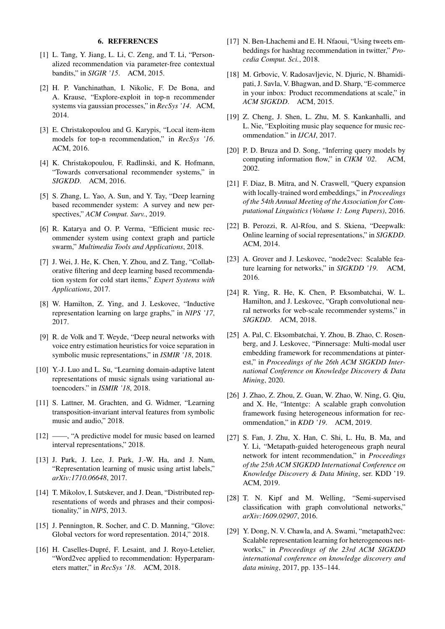#### 6. REFERENCES

- [1] L. Tang, Y. Jiang, L. Li, C. Zeng, and T. Li, "Personalized recommendation via parameter-free contextual bandits," in *SIGIR '15*. ACM, 2015.
- [2] H. P. Vanchinathan, I. Nikolic, F. De Bona, and A. Krause, "Explore-exploit in top-n recommender systems via gaussian processes," in *RecSys '14*. ACM, 2014.
- [3] E. Christakopoulou and G. Karypis, "Local item-item models for top-n recommendation," in *RecSys '16*. ACM, 2016.
- [4] K. Christakopoulou, F. Radlinski, and K. Hofmann, "Towards conversational recommender systems," in *SIGKDD*. ACM, 2016.
- [5] S. Zhang, L. Yao, A. Sun, and Y. Tay, "Deep learning based recommender system: A survey and new perspectives," *ACM Comput. Surv.*, 2019.
- [6] R. Katarya and O. P. Verma, "Efficient music recommender system using context graph and particle swarm," *Multimedia Tools and Applications*, 2018.
- [7] J. Wei, J. He, K. Chen, Y. Zhou, and Z. Tang, "Collaborative filtering and deep learning based recommendation system for cold start items," *Expert Systems with Applications*, 2017.
- [8] W. Hamilton, Z. Ying, and J. Leskovec, "Inductive representation learning on large graphs," in *NIPS '17*, 2017.
- [9] R. de Volk and T. Weyde, "Deep neural networks with voice entry estimation heuristics for voice separation in symbolic music representations," in *ISMIR '18*, 2018.
- [10] Y.-J. Luo and L. Su, "Learning domain-adaptive latent representations of music signals using variational autoencoders." in *ISMIR '18*, 2018.
- [11] S. Lattner, M. Grachten, and G. Widmer, "Learning transposition-invariant interval features from symbolic music and audio," 2018.
- [12] ——, "A predictive model for music based on learned interval representations," 2018.
- [13] J. Park, J. Lee, J. Park, J.-W. Ha, and J. Nam, "Representation learning of music using artist labels," *arXiv:1710.06648*, 2017.
- [14] T. Mikolov, I. Sutskever, and J. Dean, "Distributed representations of words and phrases and their compositionality," in *NIPS*, 2013.
- [15] J. Pennington, R. Socher, and C. D. Manning, "Glove: Global vectors for word representation. 2014," 2018.
- [16] H. Caselles-Dupré, F. Lesaint, and J. Royo-Letelier, "Word2vec applied to recommendation: Hyperparameters matter," in *RecSys '18*. ACM, 2018.
- [17] N. Ben-Lhachemi and E. H. Nfaoui, "Using tweets embeddings for hashtag recommendation in twitter," *Procedia Comput. Sci.*, 2018.
- [18] M. Grbovic, V. Radosavljevic, N. Djuric, N. Bhamidipati, J. Savla, V. Bhagwan, and D. Sharp, "E-commerce in your inbox: Product recommendations at scale," in *ACM SIGKDD*. ACM, 2015.
- [19] Z. Cheng, J. Shen, L. Zhu, M. S. Kankanhalli, and L. Nie, "Exploiting music play sequence for music recommendation." in *IJCAI*, 2017.
- [20] P. D. Bruza and D. Song, "Inferring query models by computing information flow," in *CIKM '02*. ACM, 2002.
- [21] F. Diaz, B. Mitra, and N. Craswell, "Query expansion with locally-trained word embeddings," in *Proceedings of the 54th Annual Meeting of the Association for Computational Linguistics (Volume 1: Long Papers)*, 2016.
- [22] B. Perozzi, R. Al-Rfou, and S. Skiena, "Deepwalk: Online learning of social representations," in *SIGKDD*. ACM, 2014.
- [23] A. Grover and J. Leskovec, "node2vec: Scalable feature learning for networks," in *SIGKDD '19*. ACM, 2016.
- [24] R. Ying, R. He, K. Chen, P. Eksombatchai, W. L. Hamilton, and J. Leskovec, "Graph convolutional neural networks for web-scale recommender systems," in *SIGKDD*. ACM, 2018.
- [25] A. Pal, C. Eksombatchai, Y. Zhou, B. Zhao, C. Rosenberg, and J. Leskovec, "Pinnersage: Multi-modal user embedding framework for recommendations at pinterest," in *Proceedings of the 26th ACM SIGKDD International Conference on Knowledge Discovery & Data Mining*, 2020.
- [26] J. Zhao, Z. Zhou, Z. Guan, W. Zhao, W. Ning, G. Qiu, and X. He, "Intentgc: A scalable graph convolution framework fusing heterogeneous information for recommendation," in *KDD '19*. ACM, 2019.
- [27] S. Fan, J. Zhu, X. Han, C. Shi, L. Hu, B. Ma, and Y. Li, "Metapath-guided heterogeneous graph neural network for intent recommendation," in *Proceedings of the 25th ACM SIGKDD International Conference on Knowledge Discovery & Data Mining*, ser. KDD '19. ACM, 2019.
- [28] T. N. Kipf and M. Welling, "Semi-supervised classification with graph convolutional networks," *arXiv:1609.02907*, 2016.
- [29] Y. Dong, N. V. Chawla, and A. Swami, "metapath2vec: Scalable representation learning for heterogeneous networks," in *Proceedings of the 23rd ACM SIGKDD international conference on knowledge discovery and data mining*, 2017, pp. 135–144.